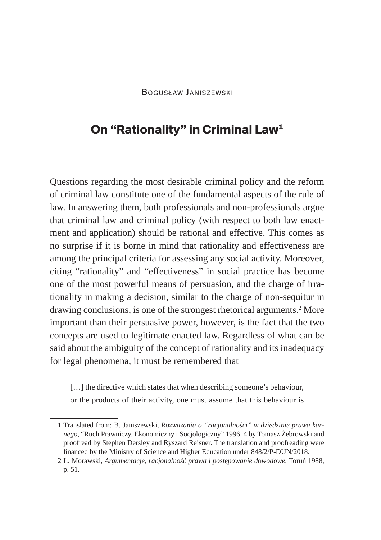## **On "Rationality" in Criminal Law1**

Questions regarding the most desirable criminal policy and the reform of criminal law constitute one of the fundamental aspects of the rule of law. In answering them, both professionals and non-professionals argue that criminal law and criminal policy (with respect to both law enactment and application) should be rational and effective. This comes as no surprise if it is borne in mind that rationality and effectiveness are among the principal criteria for assessing any social activity. Moreover, citing "rationality" and "effectiveness" in social practice has become one of the most powerful means of persuasion, and the charge of irrationality in making a decision, similar to the charge of non-sequitur in drawing conclusions, is one of the strongest rhetorical arguments.2 More important than their persuasive power, however, is the fact that the two concepts are used to legitimate enacted law. Regardless of what can be said about the ambiguity of the concept of rationality and its inadequacy for legal phenomena, it must be remembered that

[...] the directive which states that when describing someone's behaviour,

or the products of their activity, one must assume that this behaviour is

<sup>1</sup> Translated from: B. Janiszewski, *Rozważania o "racjonalności" w dziedzinie prawa karnego*, "Ruch Prawniczy, Ekonomiczny i Socjologiczny" 1996, 4 by Tomasz Żebrowski and proofread by Stephen Dersley and Ryszard Reisner. The translation and proofreading were financed by the Ministry of Science and Higher Education under 848/2/P-DUN/2018.

<sup>2</sup> L. Morawski, *Argumentacje, racjonalność prawa i postępowanie dowodowe*, Toruń 1988, p. 51.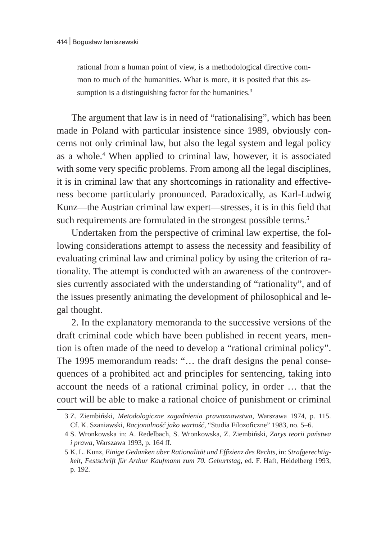rational from a human point of view, is a methodological directive common to much of the humanities. What is more, it is posited that this assumption is a distinguishing factor for the humanities.<sup>3</sup>

The argument that law is in need of "rationalising", which has been made in Poland with particular insistence since 1989, obviously concerns not only criminal law, but also the legal system and legal policy as a whole.<sup>4</sup> When applied to criminal law, however, it is associated with some very specific problems. From among all the legal disciplines, it is in criminal law that any shortcomings in rationality and effectiveness become particularly pronounced. Paradoxically, as Karl-Ludwig Kunz—the Austrian criminal law expert—stresses, it is in this field that such requirements are formulated in the strongest possible terms.<sup>5</sup>

Undertaken from the perspective of criminal law expertise, the following considerations attempt to assess the necessity and feasibility of evaluating criminal law and criminal policy by using the criterion of rationality. The attempt is conducted with an awareness of the controversies currently associated with the understanding of "rationality", and of the issues presently animating the development of philosophical and legal thought.

2. In the explanatory memoranda to the successive versions of the draft criminal code which have been published in recent years, mention is often made of the need to develop a "rational criminal policy". The 1995 memorandum reads: "… the draft designs the penal consequences of a prohibited act and principles for sentencing, taking into account the needs of a rational criminal policy, in order … that the court will be able to make a rational choice of punishment or criminal

<sup>3</sup> Z. Ziembiński, *Metodologiczne zagadnienia prawoznawstwa*, Warszawa 1974, p. 115. Cf. K. Szaniawski, *Racjonalność jako wartość*, "Studia Filozoficzne" 1983, no. 5–6.

<sup>4</sup> S. Wronkowska in: A. Redelbach, S. Wronkowska, Z. Ziembiński, *Zarys teorii państwa i prawa*, Warszawa 1993, p. 164 ff.

<sup>5</sup> K. L. Kunz, *Einige Gedanken über Rationalität und Effizienz des Rechts*, in: *Strafgerechtigkeit, Festschrift für Arthur Kaufmann zum 70. Geburtstag*, ed. F. Haft, Heidelberg 1993, p. 192.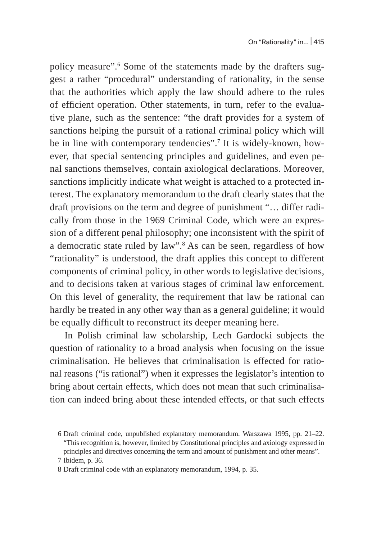policy measure".<sup>6</sup> Some of the statements made by the drafters suggest a rather "procedural" understanding of rationality, in the sense that the authorities which apply the law should adhere to the rules of efficient operation. Other statements, in turn, refer to the evaluative plane, such as the sentence: "the draft provides for a system of sanctions helping the pursuit of a rational criminal policy which will be in line with contemporary tendencies".7 It is widely-known, however, that special sentencing principles and guidelines, and even penal sanctions themselves, contain axiological declarations. Moreover, sanctions implicitly indicate what weight is attached to a protected interest. The explanatory memorandum to the draft clearly states that the draft provisions on the term and degree of punishment "… differ radically from those in the 1969 Criminal Code, which were an expression of a different penal philosophy; one inconsistent with the spirit of a democratic state ruled by law". $^8$  As can be seen, regardless of how "rationality" is understood, the draft applies this concept to different components of criminal policy, in other words to legislative decisions, and to decisions taken at various stages of criminal law enforcement. On this level of generality, the requirement that law be rational can hardly be treated in any other way than as a general guideline; it would be equally difficult to reconstruct its deeper meaning here.

In Polish criminal law scholarship, Lech Gardocki subjects the question of rationality to a broad analysis when focusing on the issue criminalisation. He believes that criminalisation is effected for rational reasons ("is rational") when it expresses the legislator's intention to bring about certain effects, which does not mean that such criminalisation can indeed bring about these intended effects, or that such effects

<sup>6</sup> Draft criminal code, unpublished explanatory memorandum. Warszawa 1995, pp. 21–22. "This recognition is, however, limited by Constitutional principles and axiology expressed in principles and directives concerning the term and amount of punishment and other means".

<sup>7</sup> Ibidem, p. 36.

<sup>8</sup> Draft criminal code with an explanatory memorandum, 1994, p. 35.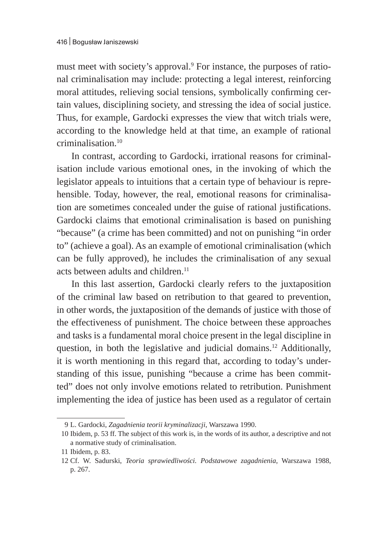must meet with society's approval.<sup>9</sup> For instance, the purposes of rational criminalisation may include: protecting a legal interest, reinforcing moral attitudes, relieving social tensions, symbolically confirming certain values, disciplining society, and stressing the idea of social justice. Thus, for example, Gardocki expresses the view that witch trials were, according to the knowledge held at that time, an example of rational criminalisation.<sup>10</sup>

In contrast, according to Gardocki, irrational reasons for criminalisation include various emotional ones, in the invoking of which the legislator appeals to intuitions that a certain type of behaviour is reprehensible. Today, however, the real, emotional reasons for criminalisation are sometimes concealed under the guise of rational justifications. Gardocki claims that emotional criminalisation is based on punishing "because" (a crime has been committed) and not on punishing "in order to" (achieve a goal). As an example of emotional criminalisation (which can be fully approved), he includes the criminalisation of any sexual acts between adults and children. $11$ 

In this last assertion, Gardocki clearly refers to the juxtaposition of the criminal law based on retribution to that geared to prevention, in other words, the juxtaposition of the demands of justice with those of the effectiveness of punishment. The choice between these approaches and tasks is a fundamental moral choice present in the legal discipline in question, in both the legislative and judicial domains.12 Additionally, it is worth mentioning in this regard that, according to today's understanding of this issue, punishing "because a crime has been committed" does not only involve emotions related to retribution. Punishment implementing the idea of justice has been used as a regulator of certain

<sup>9</sup> L. Gardocki, *Zagadnienia teorii kryminalizacji*, Warszawa 1990.

<sup>10</sup> Ibidem, p. 53 ff. The subject of this work is, in the words of its author, a descriptive and not a normative study of criminalisation.

<sup>11</sup> Ibidem, p. 83.

<sup>12</sup> Cf. W. Sadurski, *Teoria sprawiedliwości. Podstawowe zagadnienia*, Warszawa 1988, p. 267.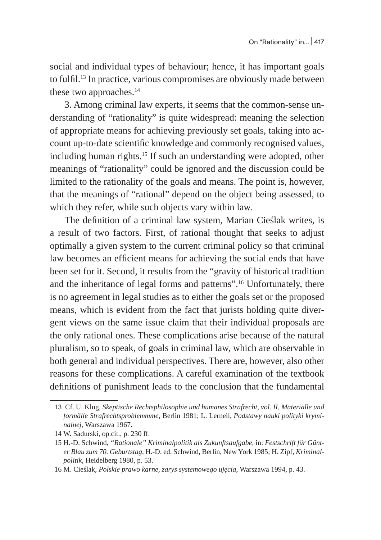social and individual types of behaviour; hence, it has important goals to fulfil.13 In practice, various compromises are obviously made between these two approaches.<sup>14</sup>

3. Among criminal law experts, it seems that the common-sense understanding of "rationality" is quite widespread: meaning the selection of appropriate means for achieving previously set goals, taking into account up-to-date scientific knowledge and commonly recognised values, including human rights.<sup>15</sup> If such an understanding were adopted, other meanings of "rationality" could be ignored and the discussion could be limited to the rationality of the goals and means. The point is, however, that the meanings of "rational" depend on the object being assessed, to which they refer, while such objects vary within law.

The definition of a criminal law system, Marian Cieślak writes, is a result of two factors. First, of rational thought that seeks to adjust optimally a given system to the current criminal policy so that criminal law becomes an efficient means for achieving the social ends that have been set for it. Second, it results from the "gravity of historical tradition and the inheritance of legal forms and patterns".16 Unfortunately, there is no agreement in legal studies as to either the goals set or the proposed means, which is evident from the fact that jurists holding quite divergent views on the same issue claim that their individual proposals are the only rational ones. These complications arise because of the natural pluralism, so to speak, of goals in criminal law, which are observable in both general and individual perspectives. There are, however, also other reasons for these complications. A careful examination of the textbook definitions of punishment leads to the conclusion that the fundamental

<sup>13</sup> Cf. U. Klug, *Skeptische Rechtsphilosophie und humanes Strafrecht, vol. II, Materiälle und formälle Strafrechtsproblemmme,* Berlin 1981; L. Lerneil, *Podstawy nauki polityki kryminalnej*, Warszawa 1967.

<sup>14</sup> W. Sadurski, op.cit., p. 230 ff.

<sup>15</sup> H.-D. Schwind, *"Rationale" Kriminalpolitik als Zukunftsaufgabe*, in: *Festschrift für Günter Blau zum 70. Geburtstag*, H.-D. ed. Schwind, Berlin, New York 1985; H. Zipf, *Kriminalpolitik*, Heidelberg 1980, p. 53.

<sup>16</sup> M. Cieślak, *Polskie prawo karne, zarys systemowego ujęcia*, Warszawa 1994, p. 43.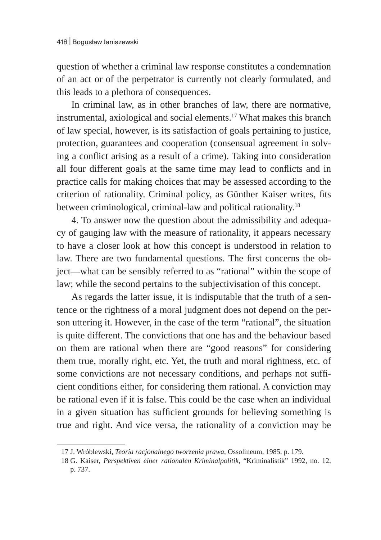question of whether a criminal law response constitutes a condemnation of an act or of the perpetrator is currently not clearly formulated, and this leads to a plethora of consequences.

In criminal law, as in other branches of law, there are normative, instrumental, axiological and social elements.17 What makes this branch of law special, however, is its satisfaction of goals pertaining to justice, protection, guarantees and cooperation (consensual agreement in solving a conflict arising as a result of a crime). Taking into consideration all four different goals at the same time may lead to conflicts and in practice calls for making choices that may be assessed according to the criterion of rationality. Criminal policy, as Günther Kaiser writes, fits between criminological, criminal-law and political rationality.<sup>18</sup>

4. To answer now the question about the admissibility and adequacy of gauging law with the measure of rationality, it appears necessary to have a closer look at how this concept is understood in relation to law. There are two fundamental questions. The first concerns the object—what can be sensibly referred to as "rational" within the scope of law; while the second pertains to the subjectivisation of this concept.

As regards the latter issue, it is indisputable that the truth of a sentence or the rightness of a moral judgment does not depend on the person uttering it. However, in the case of the term "rational", the situation is quite different. The convictions that one has and the behaviour based on them are rational when there are "good reasons" for considering them true, morally right, etc. Yet, the truth and moral rightness, etc. of some convictions are not necessary conditions, and perhaps not sufficient conditions either, for considering them rational. A conviction may be rational even if it is false. This could be the case when an individual in a given situation has sufficient grounds for believing something is true and right. And vice versa, the rationality of a conviction may be

<sup>17</sup> J. Wróblewski, *Teoria racjonalnego tworzenia prawa*, Ossolineum, 1985, p. 179.

<sup>18</sup> G. Kaiser, *Perspektiven einer rationalen Kriminalpolitik*, "Kriminalistik" 1992, no. 12, p. 737.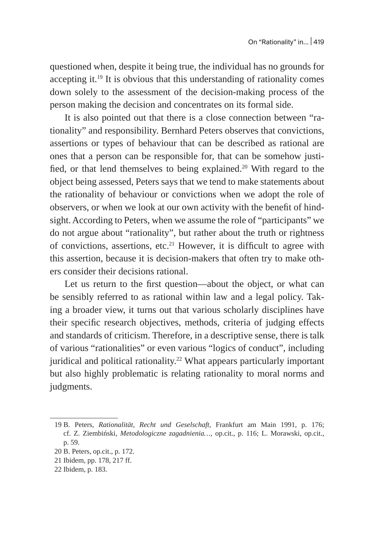questioned when, despite it being true, the individual has no grounds for accepting it.19 It is obvious that this understanding of rationality comes down solely to the assessment of the decision-making process of the person making the decision and concentrates on its formal side.

It is also pointed out that there is a close connection between "rationality" and responsibility. Bernhard Peters observes that convictions, assertions or types of behaviour that can be described as rational are ones that a person can be responsible for, that can be somehow justified, or that lend themselves to being explained.<sup>20</sup> With regard to the object being assessed, Peters says that we tend to make statements about the rationality of behaviour or convictions when we adopt the role of observers, or when we look at our own activity with the benefit of hindsight. According to Peters, when we assume the role of "participants" we do not argue about "rationality", but rather about the truth or rightness of convictions, assertions, etc.<sup>21</sup> However, it is difficult to agree with this assertion, because it is decision-makers that often try to make others consider their decisions rational.

Let us return to the first question—about the object, or what can be sensibly referred to as rational within law and a legal policy. Taking a broader view, it turns out that various scholarly disciplines have their specific research objectives, methods, criteria of judging effects and standards of criticism. Therefore, in a descriptive sense, there is talk of various "rationalities" or even various "logics of conduct", including juridical and political rationality.<sup>22</sup> What appears particularly important but also highly problematic is relating rationality to moral norms and judgments.

<sup>19</sup> B. Peters, *Rationalität, Recht und Geselschaft*, Frankfurt am Main 1991, p. 176; cf. Z. Ziembiński, *Metodologiczne zagadnienia…*, op.cit., p. 116; L. Morawski, op.cit., p. 59.

<sup>20</sup> B. Peters, op.cit., p. 172.

<sup>21</sup> Ibidem, pp. 178, 217 ff.

<sup>22</sup> Ibidem, p. 183.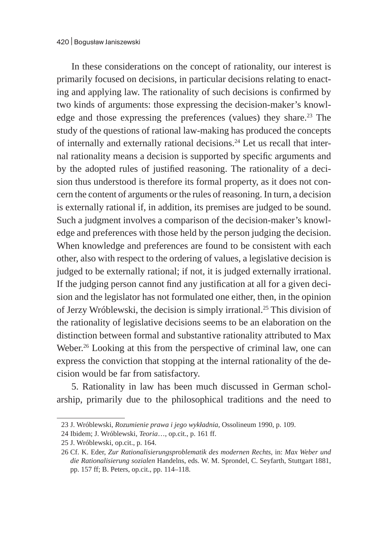In these considerations on the concept of rationality, our interest is primarily focused on decisions, in particular decisions relating to enacting and applying law. The rationality of such decisions is confirmed by two kinds of arguments: those expressing the decision-maker's knowledge and those expressing the preferences (values) they share.<sup>23</sup> The study of the questions of rational law-making has produced the concepts of internally and externally rational decisions.24 Let us recall that internal rationality means a decision is supported by specific arguments and by the adopted rules of justified reasoning. The rationality of a decision thus understood is therefore its formal property, as it does not concern the content of arguments or the rules of reasoning. In turn, a decision is externally rational if, in addition, its premises are judged to be sound. Such a judgment involves a comparison of the decision-maker's knowledge and preferences with those held by the person judging the decision. When knowledge and preferences are found to be consistent with each other, also with respect to the ordering of values, a legislative decision is judged to be externally rational; if not, it is judged externally irrational. If the judging person cannot find any justification at all for a given decision and the legislator has not formulated one either, then, in the opinion of Jerzy Wróblewski, the decision is simply irrational.25 This division of the rationality of legislative decisions seems to be an elaboration on the distinction between formal and substantive rationality attributed to Max Weber.<sup>26</sup> Looking at this from the perspective of criminal law, one can express the conviction that stopping at the internal rationality of the decision would be far from satisfactory.

5. Rationality in law has been much discussed in German scholarship, primarily due to the philosophical traditions and the need to

<sup>23</sup> J. Wróblewski, *Rozumienie prawa i jego wykładnia,* Ossolineum 1990, p. 109.

<sup>24</sup> Ibidem; J. Wróblewski, *Teoria*…, op.cit., p. 161 ff.

<sup>25</sup> J. Wróblewski, op.cit., p. 164.

<sup>26</sup> Cf. K. Eder, *Zur Rationalisierungsproblematik des modernen Rechts*, in: *Max Weber und die Rationalisierung sozialen* Handelns, eds. W. M. Sprondel, C. Seyfarth, Stuttgart 1881, pp. 157 ff; B. Peters, op.cit., pp. 114–118.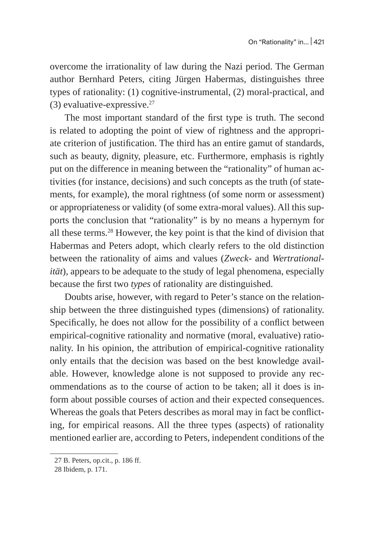overcome the irrationality of law during the Nazi period. The German author Bernhard Peters, citing Jürgen Habermas, distinguishes three types of rationality: (1) cognitive-instrumental, (2) moral-practical, and (3) evaluative-expressive. $27$ 

The most important standard of the first type is truth. The second is related to adopting the point of view of rightness and the appropriate criterion of justification. The third has an entire gamut of standards, such as beauty, dignity, pleasure, etc. Furthermore, emphasis is rightly put on the difference in meaning between the "rationality" of human activities (for instance, decisions) and such concepts as the truth (of statements, for example), the moral rightness (of some norm or assessment) or appropriateness or validity (of some extra-moral values). All this supports the conclusion that "rationality" is by no means a hypernym for all these terms.28 However, the key point is that the kind of division that Habermas and Peters adopt, which clearly refers to the old distinction between the rationality of aims and values (*Zweck*- and *Wertrationalität*), appears to be adequate to the study of legal phenomena, especially because the first two *types* of rationality are distinguished.

Doubts arise, however, with regard to Peter's stance on the relationship between the three distinguished types (dimensions) of rationality. Specifically, he does not allow for the possibility of a conflict between empirical-cognitive rationality and normative (moral, evaluative) rationality. In his opinion, the attribution of empirical-cognitive rationality only entails that the decision was based on the best knowledge available. However, knowledge alone is not supposed to provide any recommendations as to the course of action to be taken; all it does is inform about possible courses of action and their expected consequences. Whereas the goals that Peters describes as moral may in fact be conflicting, for empirical reasons. All the three types (aspects) of rationality mentioned earlier are, according to Peters, independent conditions of the

<sup>27</sup> B. Peters, op.cit., p. 186 ff.

<sup>28</sup> Ibidem, p. 171.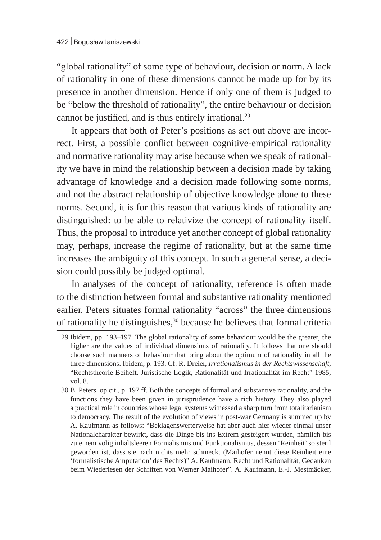"global rationality" of some type of behaviour, decision or norm. A lack of rationality in one of these dimensions cannot be made up for by its presence in another dimension. Hence if only one of them is judged to be "below the threshold of rationality", the entire behaviour or decision cannot be justified, and is thus entirely irrational.<sup>29</sup>

It appears that both of Peter's positions as set out above are incorrect. First, a possible conflict between cognitive-empirical rationality and normative rationality may arise because when we speak of rationality we have in mind the relationship between a decision made by taking advantage of knowledge and a decision made following some norms, and not the abstract relationship of objective knowledge alone to these norms. Second, it is for this reason that various kinds of rationality are distinguished: to be able to relativize the concept of rationality itself. Thus, the proposal to introduce yet another concept of global rationality may, perhaps, increase the regime of rationality, but at the same time increases the ambiguity of this concept. In such a general sense, a decision could possibly be judged optimal.

In analyses of the concept of rationality, reference is often made to the distinction between formal and substantive rationality mentioned earlier. Peters situates formal rationality "across" the three dimensions of rationality he distinguishes, $30$  because he believes that formal criteria

<sup>29</sup> Ibidem, pp. 193–197. The global rationality of some behaviour would be the greater, the higher are the values of individual dimensions of rationality. It follows that one should choose such manners of behaviour that bring about the optimum of rationality in all the three dimensions. Ibidem, p. 193. Cf. R. Dreier, *Irrationalismus in der Rechtswissenschaft*, "Rechtstheorie Beiheft. Juristische Logik, Rationalität und Irrationalität im Recht" 1985, vol. 8.

<sup>30</sup> B. Peters, op.cit., p. 197 ff. Both the concepts of formal and substantive rationality, and the functions they have been given in jurisprudence have a rich history. They also played a practical role in countries whose legal systems witnessed a sharp turn from totalitarianism to democracy. The result of the evolution of views in post-war Germany is summed up by A. Kaufmann as follows: "Beklagenswerterweise hat aber auch hier wieder einmal unser Nationalcharakter bewirkt, dass die Dinge bis ins Extrem gesteigert wurden, nämlich bis zu einem völig inhaltsleeren Formalismus und Funktionalismus, dessen 'Reinheit' so steril geworden ist, dass sie nach nichts mehr schmeckt (Maihofer nennt diese Reinheit eine 'formalistische Amputation' des Rechts)" A. Kaufmann, Recht und Rationalität, Gedanken beim Wiederlesen der Schriften von Werner Maihofer". A. Kaufmann, E.-J. Mestmäcker,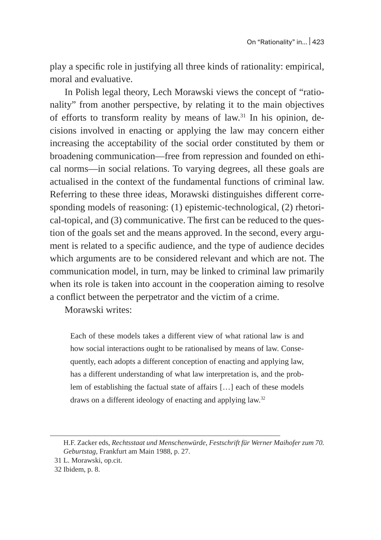play a specific role in justifying all three kinds of rationality: empirical, moral and evaluative.

In Polish legal theory, Lech Morawski views the concept of "rationality" from another perspective, by relating it to the main objectives of efforts to transform reality by means of law.31 In his opinion, decisions involved in enacting or applying the law may concern either increasing the acceptability of the social order constituted by them or broadening communication—free from repression and founded on ethical norms—in social relations. To varying degrees, all these goals are actualised in the context of the fundamental functions of criminal law. Referring to these three ideas, Morawski distinguishes different corresponding models of reasoning: (1) epistemic-technological, (2) rhetorical-topical, and (3) communicative. The first can be reduced to the question of the goals set and the means approved. In the second, every argument is related to a specific audience, and the type of audience decides which arguments are to be considered relevant and which are not. The communication model, in turn, may be linked to criminal law primarily when its role is taken into account in the cooperation aiming to resolve a conflict between the perpetrator and the victim of a crime.

Morawski writes:

Each of these models takes a different view of what rational law is and how social interactions ought to be rationalised by means of law. Consequently, each adopts a different conception of enacting and applying law, has a different understanding of what law interpretation is, and the problem of establishing the factual state of affairs […] each of these models draws on a different ideology of enacting and applying law.32

H.F. Zacker eds, *Rechtsstaat und Menschenwürde, Festschrift für Werner Maihofer zum 70. Geburtstag*, Frankfurt am Main 1988, p. 27.

<sup>31</sup> L. Morawski, op.cit.

<sup>32</sup> Ibidem, p. 8.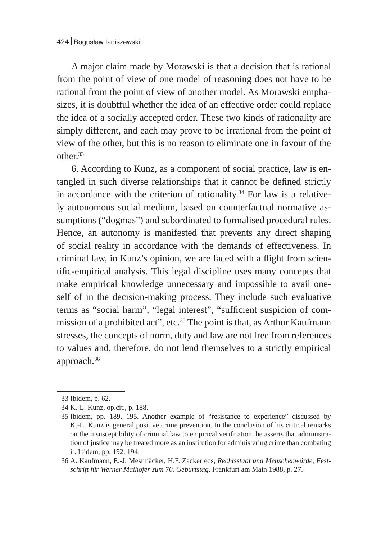A major claim made by Morawski is that a decision that is rational from the point of view of one model of reasoning does not have to be rational from the point of view of another model. As Morawski emphasizes, it is doubtful whether the idea of an effective order could replace the idea of a socially accepted order. These two kinds of rationality are simply different, and each may prove to be irrational from the point of view of the other, but this is no reason to eliminate one in favour of the other.33

6. According to Kunz, as a component of social practice, law is entangled in such diverse relationships that it cannot be defined strictly in accordance with the criterion of rationality.<sup>34</sup> For law is a relatively autonomous social medium, based on counterfactual normative assumptions ("dogmas") and subordinated to formalised procedural rules. Hence, an autonomy is manifested that prevents any direct shaping of social reality in accordance with the demands of effectiveness. In criminal law, in Kunz's opinion, we are faced with a flight from scientific-empirical analysis. This legal discipline uses many concepts that make empirical knowledge unnecessary and impossible to avail oneself of in the decision-making process. They include such evaluative terms as "social harm", "legal interest", "sufficient suspicion of commission of a prohibited act", etc.<sup>35</sup> The point is that, as Arthur Kaufmann stresses, the concepts of norm, duty and law are not free from references to values and, therefore, do not lend themselves to a strictly empirical approach.36

<sup>33</sup> Ibidem, p. 62.

<sup>34</sup> K.-L. Kunz, op.cit., p. 188.

<sup>35</sup> Ibidem, pp. 189, 195. Another example of "resistance to experience" discussed by K.-L. Kunz is general positive crime prevention. In the conclusion of his critical remarks on the insusceptibility of criminal law to empirical verification, he asserts that administration of justice may be treated more as an institution for administering crime than combating it. Ibidem, pp. 192, 194.

<sup>36</sup> A. Kaufmann, E.-J. Mestmäcker, H.F. Zacker eds, *Rechtsstaat und Menschenwürde, Festschrift für Werner Maihofer zum 70. Geburtstag*, Frankfurt am Main 1988, p. 27.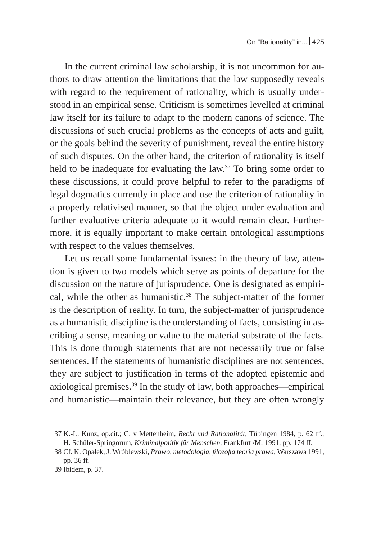In the current criminal law scholarship, it is not uncommon for authors to draw attention the limitations that the law supposedly reveals with regard to the requirement of rationality, which is usually understood in an empirical sense. Criticism is sometimes levelled at criminal law itself for its failure to adapt to the modern canons of science. The discussions of such crucial problems as the concepts of acts and guilt, or the goals behind the severity of punishment, reveal the entire history of such disputes. On the other hand, the criterion of rationality is itself held to be inadequate for evaluating the law.<sup>37</sup> To bring some order to these discussions, it could prove helpful to refer to the paradigms of legal dogmatics currently in place and use the criterion of rationality in a properly relativised manner, so that the object under evaluation and further evaluative criteria adequate to it would remain clear. Furthermore, it is equally important to make certain ontological assumptions with respect to the values themselves.

Let us recall some fundamental issues: in the theory of law, attention is given to two models which serve as points of departure for the discussion on the nature of jurisprudence. One is designated as empirical, while the other as humanistic.<sup>38</sup> The subject-matter of the former is the description of reality. In turn, the subject-matter of jurisprudence as a humanistic discipline is the understanding of facts, consisting in ascribing a sense, meaning or value to the material substrate of the facts. This is done through statements that are not necessarily true or false sentences. If the statements of humanistic disciplines are not sentences, they are subject to justification in terms of the adopted epistemic and axiological premises.39 In the study of law, both approaches—empirical and humanistic—maintain their relevance, but they are often wrongly

<sup>37</sup> K.-L. Kunz, op.cit.; C. v Mettenheim, *Recht und Rationalität,* Tübingen 1984, p. 62 ff.; H. Schüler-Springorum, *Kriminalpolitik für Menschen,* Frankfurt /M. 1991, pp. 174 ff.

<sup>38</sup> Cf. K. Opałek, J. Wróblewski, *Prawo, metodologia, filozofia teoria prawa*, Warszawa 1991, pp. 36 ff.

<sup>39</sup> Ibidem, p. 37.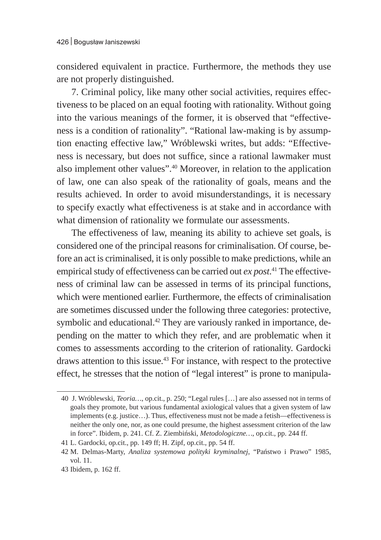considered equivalent in practice. Furthermore, the methods they use are not properly distinguished.

7. Criminal policy, like many other social activities, requires effectiveness to be placed on an equal footing with rationality. Without going into the various meanings of the former, it is observed that "effectiveness is a condition of rationality". "Rational law-making is by assumption enacting effective law," Wróblewski writes, but adds: "Effectiveness is necessary, but does not suffice, since a rational lawmaker must also implement other values".<sup>40</sup> Moreover, in relation to the application of law, one can also speak of the rationality of goals, means and the results achieved. In order to avoid misunderstandings, it is necessary to specify exactly what effectiveness is at stake and in accordance with what dimension of rationality we formulate our assessments.

The effectiveness of law, meaning its ability to achieve set goals, is considered one of the principal reasons for criminalisation. Of course, before an act is criminalised, it is only possible to make predictions, while an empirical study of effectiveness can be carried out *ex post*. 41 The effectiveness of criminal law can be assessed in terms of its principal functions, which were mentioned earlier. Furthermore, the effects of criminalisation are sometimes discussed under the following three categories: protective, symbolic and educational.<sup>42</sup> They are variously ranked in importance, depending on the matter to which they refer, and are problematic when it comes to assessments according to the criterion of rationality. Gardocki draws attention to this issue.<sup>43</sup> For instance, with respect to the protective effect, he stresses that the notion of "legal interest" is prone to manipula-

<sup>40</sup> J. Wróblewski, *Teoria…*, op.cit., p. 250; "Legal rules […] are also assessed not in terms of goals they promote, but various fundamental axiological values that a given system of law implements (e.g. justice…). Thus, effectiveness must not be made a fetish—effectiveness is neither the only one, nor, as one could presume, the highest assessment criterion of the law in force". Ibidem, p. 241. Cf. Z. Ziembiński, *Metodologiczne…*, op.cit., pp. 244 ff.

<sup>41</sup> L. Gardocki, op.cit., pp. 149 ff; H. Zipf, op.cit., pp. 54 ff.

<sup>42</sup> M. Delmas-Marty, *Analiza systemowa polityki kryminalnej*, "Państwo i Prawo" 1985, vol. 11.

<sup>43</sup> Ibidem, p. 162 ff.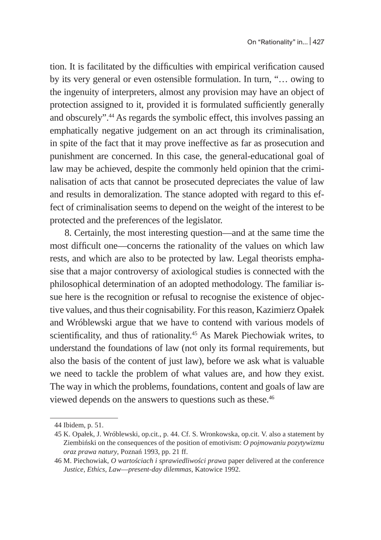tion. It is facilitated by the difficulties with empirical verification caused by its very general or even ostensible formulation. In turn, "… owing to the ingenuity of interpreters, almost any provision may have an object of protection assigned to it, provided it is formulated sufficiently generally and obscurely".<sup>44</sup> As regards the symbolic effect, this involves passing an emphatically negative judgement on an act through its criminalisation, in spite of the fact that it may prove ineffective as far as prosecution and punishment are concerned. In this case, the general-educational goal of law may be achieved, despite the commonly held opinion that the criminalisation of acts that cannot be prosecuted depreciates the value of law and results in demoralization. The stance adopted with regard to this effect of criminalisation seems to depend on the weight of the interest to be protected and the preferences of the legislator.

8. Certainly, the most interesting question—and at the same time the most difficult one—concerns the rationality of the values on which law rests, and which are also to be protected by law. Legal theorists emphasise that a major controversy of axiological studies is connected with the philosophical determination of an adopted methodology. The familiar issue here is the recognition or refusal to recognise the existence of objective values, and thus their cognisability. For this reason, Kazimierz Opałek and Wróblewski argue that we have to contend with various models of scientificality, and thus of rationality.<sup>45</sup> As Marek Piechowiak writes, to understand the foundations of law (not only its formal requirements, but also the basis of the content of just law), before we ask what is valuable we need to tackle the problem of what values are, and how they exist. The way in which the problems, foundations, content and goals of law are viewed depends on the answers to questions such as these.<sup>46</sup>

<sup>44</sup> Ibidem, p. 51.

<sup>45</sup> K. Opałek, J. Wróblewski, op.cit., p. 44. Cf. S. Wronkowska, op.cit. V. also a statement by Ziembiński on the consequences of the position of emotivism: *O pojmowaniu pozytywizmu oraz prawa natury*, Poznań 1993, pp. 21 ff.

<sup>46</sup> M. Piechowiak, *O wartościach i sprawiedliwości prawa* paper delivered at the conference *Justice, Ethics, Law*—*present-day dilemmas*, Katowice 1992.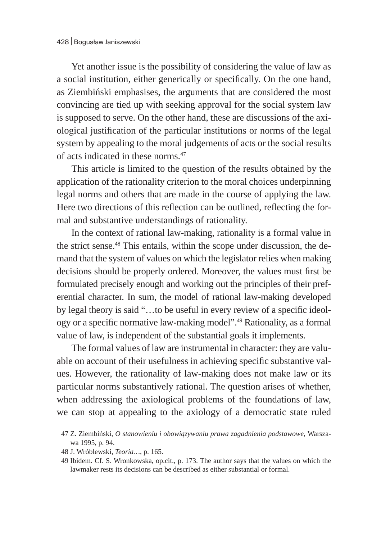Yet another issue is the possibility of considering the value of law as a social institution, either generically or specifically. On the one hand, as Ziembiński emphasises, the arguments that are considered the most convincing are tied up with seeking approval for the social system law is supposed to serve. On the other hand, these are discussions of the axiological justification of the particular institutions or norms of the legal system by appealing to the moral judgements of acts or the social results of acts indicated in these norms.47

This article is limited to the question of the results obtained by the application of the rationality criterion to the moral choices underpinning legal norms and others that are made in the course of applying the law. Here two directions of this reflection can be outlined, reflecting the formal and substantive understandings of rationality.

In the context of rational law-making, rationality is a formal value in the strict sense.<sup>48</sup> This entails, within the scope under discussion, the demand that the system of values on which the legislator relies when making decisions should be properly ordered. Moreover, the values must first be formulated precisely enough and working out the principles of their preferential character. In sum, the model of rational law-making developed by legal theory is said "…to be useful in every review of a specific ideology or a specific normative law-making model".49 Rationality, as a formal value of law, is independent of the substantial goals it implements.

The formal values of law are instrumental in character: they are valuable on account of their usefulness in achieving specific substantive values. However, the rationality of law-making does not make law or its particular norms substantively rational. The question arises of whether, when addressing the axiological problems of the foundations of law, we can stop at appealing to the axiology of a democratic state ruled

<sup>47</sup> Z. Ziembiński, *O stanowieniu i obowiązywaniu prawa zagadnienia podstawowe*, Warszawa 1995, p. 94.

<sup>48</sup> J. Wróblewski, *Teoria…*, p. 165.

<sup>49</sup> Ibidem. Cf. S. Wronkowska, op.cit., p. 173. The author says that the values on which the lawmaker rests its decisions can be described as either substantial or formal.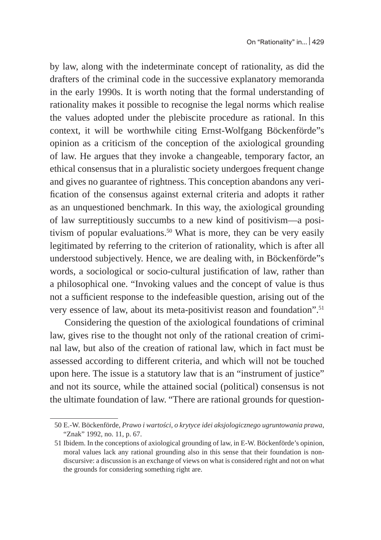by law, along with the indeterminate concept of rationality, as did the drafters of the criminal code in the successive explanatory memoranda in the early 1990s. It is worth noting that the formal understanding of rationality makes it possible to recognise the legal norms which realise the values adopted under the plebiscite procedure as rational. In this context, it will be worthwhile citing Ernst-Wolfgang Böckenförde"s opinion as a criticism of the conception of the axiological grounding of law. He argues that they invoke a changeable, temporary factor, an ethical consensus that in a pluralistic society undergoes frequent change and gives no guarantee of rightness. This conception abandons any verification of the consensus against external criteria and adopts it rather as an unquestioned benchmark. In this way, the axiological grounding of law surreptitiously succumbs to a new kind of positivism—a positivism of popular evaluations.<sup>50</sup> What is more, they can be very easily legitimated by referring to the criterion of rationality, which is after all understood subjectively. Hence, we are dealing with, in Böckenförde"s words, a sociological or socio-cultural justification of law, rather than a philosophical one. "Invoking values and the concept of value is thus not a sufficient response to the indefeasible question, arising out of the very essence of law, about its meta-positivist reason and foundation".<sup>51</sup>

Considering the question of the axiological foundations of criminal law, gives rise to the thought not only of the rational creation of criminal law, but also of the creation of rational law, which in fact must be assessed according to different criteria, and which will not be touched upon here. The issue is a statutory law that is an "instrument of justice" and not its source, while the attained social (political) consensus is not the ultimate foundation of law. "There are rational grounds for question-

<sup>50</sup> E.-W. Böckenförde, *Prawo i wartości, o krytyce idei aksjologicznego ugruntowania prawa*, "Znak" 1992, no. 11, p. 67.

<sup>51</sup> Ibidem. In the conceptions of axiological grounding of law, in E-W. Böckenförde's opinion, moral values lack any rational grounding also in this sense that their foundation is nondiscursive: a discussion is an exchange of views on what is considered right and not on what the grounds for considering something right are.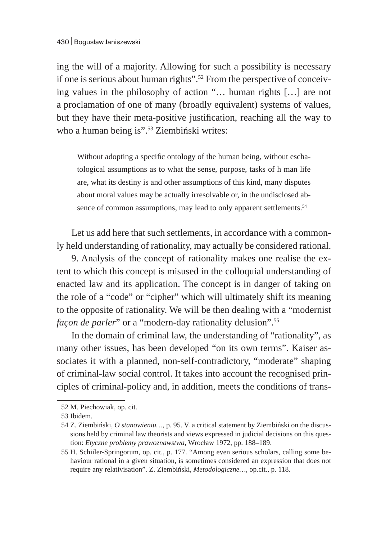ing the will of a majority. Allowing for such a possibility is necessary if one is serious about human rights".52 From the perspective of conceiving values in the philosophy of action "… human rights […] are not a proclamation of one of many (broadly equivalent) systems of values, but they have their meta-positive justification, reaching all the way to who a human being is".<sup>53</sup> Ziembiński writes:

Without adopting a specific ontology of the human being, without eschatological assumptions as to what the sense, purpose, tasks of h man life are, what its destiny is and other assumptions of this kind, many disputes about moral values may be actually irresolvable or, in the undisclosed absence of common assumptions, may lead to only apparent settlements.<sup>54</sup>

Let us add here that such settlements, in accordance with a commonly held understanding of rationality, may actually be considered rational.

9. Analysis of the concept of rationality makes one realise the extent to which this concept is misused in the colloquial understanding of enacted law and its application. The concept is in danger of taking on the role of a "code" or "cipher" which will ultimately shift its meaning to the opposite of rationality. We will be then dealing with a "modernist *façon de parler*" or a "modern-day rationality delusion".<sup>55</sup>

In the domain of criminal law, the understanding of "rationality", as many other issues, has been developed "on its own terms". Kaiser associates it with a planned, non-self-contradictory, "moderate" shaping of criminal-law social control. It takes into account the recognised principles of criminal-policy and, in addition, meets the conditions of trans-

<sup>52</sup> M. Piechowiak, op. cit.

<sup>53</sup> Ibidem.

<sup>54</sup> Z. Ziembiński, *O stanowieniu…*, p. 95. V. a critical statement by Ziembiński on the discussions held by criminal law theorists and views expressed in judicial decisions on this question: *Etyczne problemy prawoznawstwa*, Wrocław 1972, pp. 188–189.

<sup>55</sup> H. Schiiler-Springorum, op. cit., p. 177. "Among even serious scholars, calling some behaviour rational in a given situation, is sometimes considered an expression that does not require any relativisation". Z. Ziembiński, *Metodologiczne…*, op.cit., p. 118.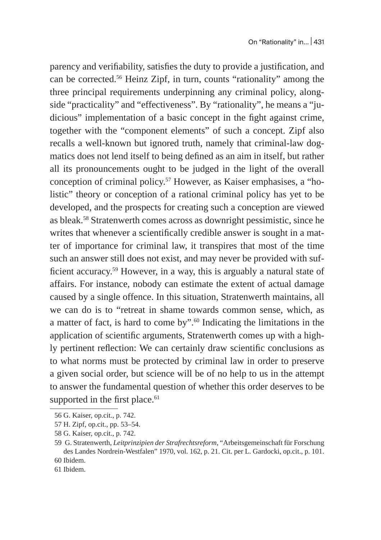parency and verifiability, satisfies the duty to provide a justification, and can be corrected.56 Heinz Zipf, in turn, counts "rationality" among the three principal requirements underpinning any criminal policy, alongside "practicality" and "effectiveness". By "rationality", he means a "judicious" implementation of a basic concept in the fight against crime, together with the "component elements" of such a concept. Zipf also recalls a well-known but ignored truth, namely that criminal-law dogmatics does not lend itself to being defined as an aim in itself, but rather all its pronouncements ought to be judged in the light of the overall conception of criminal policy.57 However, as Kaiser emphasises, a "holistic" theory or conception of a rational criminal policy has yet to be developed, and the prospects for creating such a conception are viewed as bleak.<sup>58</sup> Stratenwerth comes across as downright pessimistic, since he writes that whenever a scientifically credible answer is sought in a matter of importance for criminal law, it transpires that most of the time such an answer still does not exist, and may never be provided with sufficient accuracy.<sup>59</sup> However, in a way, this is arguably a natural state of affairs. For instance, nobody can estimate the extent of actual damage caused by a single offence. In this situation, Stratenwerth maintains, all we can do is to "retreat in shame towards common sense, which, as a matter of fact, is hard to come by". $60$  Indicating the limitations in the application of scientific arguments, Stratenwerth comes up with a highly pertinent reflection: We can certainly draw scientific conclusions as to what norms must be protected by criminal law in order to preserve a given social order, but science will be of no help to us in the attempt to answer the fundamental question of whether this order deserves to be supported in the first place. $61$ 

<sup>56</sup> G. Kaiser, op.cit., p. 742.

<sup>57</sup> H. Zipf, op.cit., pp. 53–54.

<sup>58</sup> G. Kaiser, op.cit., p. 742.

<sup>59</sup> G. Stratenwerth, *Leitprinzipien der Strafrechtsreform*, "Arbeitsgemeinschaft für Forschung des Landes Nordrein-Westfalen" 1970, vol. 162, p. 21. Cit. per L. Gardocki, op.cit., p. 101. 60 Ibidem.

<sup>61</sup> Ibidem.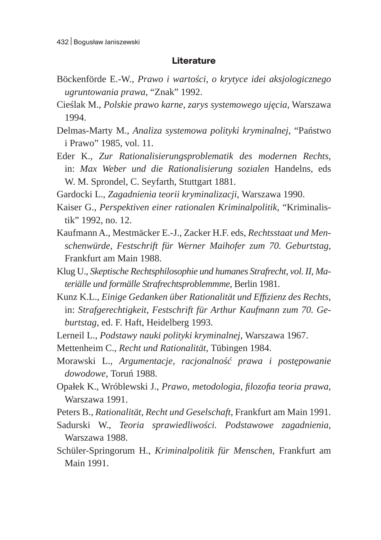## **Literature**

- Böckenförde E.-W., *Prawo i wartości, o krytyce idei aksjologicznego ugruntowania prawa*, "Znak" 1992.
- Cieślak M., *Polskie prawo karne, zarys systemowego ujęcia*, Warszawa 1994.
- Delmas-Marty M., *Analiza systemowa polityki kryminalnej*, "Państwo i Prawo" 1985, vol. 11.
- Eder K., *Zur Rationalisierungsproblematik des modernen Rechts*, in: *Max Weber und die Rationalisierung sozialen* Handelns, eds W. M. Sprondel, C. Seyfarth, Stuttgart 1881.

Gardocki L., *Zagadnienia teorii kryminalizacji*, Warszawa 1990.

- Kaiser G., *Perspektiven einer rationalen Kriminalpolitik*, "Kriminalistik" 1992, no. 12.
- Kaufmann A., Mestmäcker E.-J., Zacker H.F. eds, *Rechtsstaat und Menschenwürde, Festschrift für Werner Maihofer zum 70. Geburtstag*, Frankfurt am Main 1988.
- Klug U., *Skeptische Rechtsphilosophie und humanes Strafrecht, vol. II, Materiälle und formälle Strafrechtsproblemmme*, Berlin 1981.
- Kunz K.L., *Einige Gedanken über Rationalität und Effizienz des Rechts*, in: *Strafgerechtigkeit, Festschrift für Arthur Kaufmann zum 70. Geburtstag*, ed. F. Haft, Heidelberg 1993.
- Lerneil L., *Podstawy nauki polityki kryminalnej*, Warszawa 1967.
- Mettenheim C., *Recht und Rationalität*, Tübingen 1984.
- Morawski L., *Argumentacje, racjonalność prawa i postępowanie dowodowe*, Toruń 1988.
- Opałek K., Wróblewski J., *Prawo, metodologia, filozofia teoria prawa*, Warszawa 1991.
- Peters B., *Rationalität, Recht und Geselschaft*, Frankfurt am Main 1991.
- Sadurski W., *Teoria sprawiedliwości. Podstawowe zagadnienia*, Warszawa 1988.
- Schüler-Springorum H., *Kriminalpolitik für Menschen*, Frankfurt am Main 1991.